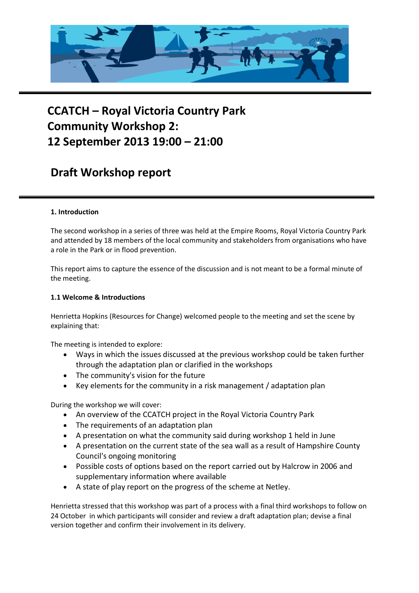

# **CCATCH – Royal Victoria Country Park Community Workshop 2: 12 September 2013 19:00 – 21:00**

# **Draft Workshop report**

# **1. Introduction**

The second workshop in a series of three was held at the Empire Rooms, Royal Victoria Country Park and attended by 18 members of the local community and stakeholders from organisations who have a role in the Park or in flood prevention.

This report aims to capture the essence of the discussion and is not meant to be a formal minute of the meeting.

#### **1.1 Welcome & Introductions**

Henrietta Hopkins (Resources for Change) welcomed people to the meeting and set the scene by explaining that:

The meeting is intended to explore:

- Ways in which the issues discussed at the previous workshop could be taken further through the adaptation plan or clarified in the workshops
- The community's vision for the future
- Key elements for the community in a risk management / adaptation plan

During the workshop we will cover:

- An overview of the CCATCH project in the Royal Victoria Country Park
- The requirements of an adaptation plan
- A presentation on what the community said during workshop 1 held in June
- A presentation on the current state of the sea wall as a result of Hampshire County Council's ongoing monitoring
- Possible costs of options based on the report carried out by Halcrow in 2006 and supplementary information where available
- A state of play report on the progress of the scheme at Netley.

Henrietta stressed that this workshop was part of a process with a final third workshops to follow on 24 October in which participants will consider and review a draft adaptation plan; devise a final version together and confirm their involvement in its delivery.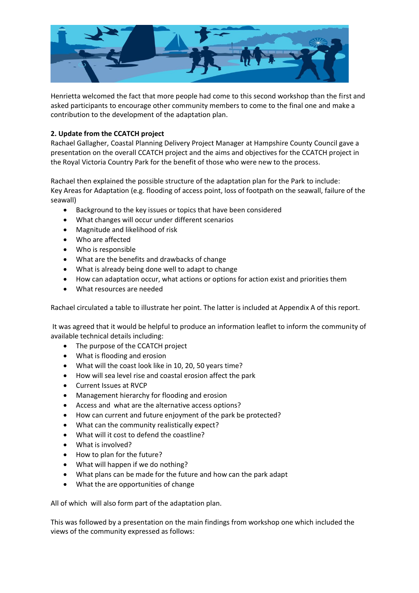

Henrietta welcomed the fact that more people had come to this second workshop than the first and asked participants to encourage other community members to come to the final one and make a contribution to the development of the adaptation plan.

# **2. Update from the CCATCH project**

Rachael Gallagher, Coastal Planning Delivery Project Manager at Hampshire County Council gave a presentation on the overall CCATCH project and the aims and objectives for the CCATCH project in the Royal Victoria Country Park for the benefit of those who were new to the process.

Rachael then explained the possible structure of the adaptation plan for the Park to include: Key Areas for Adaptation (e.g. flooding of access point, loss of footpath on the seawall, failure of the seawall)

- Background to the key issues or topics that have been considered
- What changes will occur under different scenarios
- Magnitude and likelihood of risk
- Who are affected
- Who is responsible
- What are the benefits and drawbacks of change
- What is already being done well to adapt to change
- How can adaptation occur, what actions or options for action exist and priorities them
- What resources are needed

Rachael circulated a table to illustrate her point. The latter is included at Appendix A of this report.

It was agreed that it would be helpful to produce an information leaflet to inform the community of available technical details including:

- The purpose of the CCATCH project
- What is flooding and erosion
- What will the coast look like in 10, 20, 50 years time?
- How will sea level rise and coastal erosion affect the park
- Current Issues at RVCP
- Management hierarchy for flooding and erosion
- Access and what are the alternative access options?
- How can current and future enjoyment of the park be protected?
- What can the community realistically expect?
- What will it cost to defend the coastline?
- What is involved?
- How to plan for the future?
- What will happen if we do nothing?
- What plans can be made for the future and how can the park adapt
- What the are opportunities of change

All of which will also form part of the adaptation plan.

This was followed by a presentation on the main findings from workshop one which included the views of the community expressed as follows: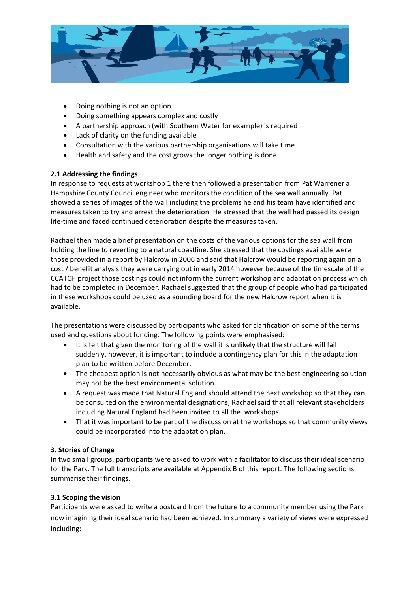

- Doing nothing is not an option
- Doing something appears complex and costly
- A partnership approach (with Southern Water for example) is required
- Lack of clarity on the funding available
- Consultation with the various partnership organisations will take time
- Health and safety and the cost grows the longer nothing is done

# **2.1 Addressing the findings**

In response to requests at workshop 1 there then followed a presentation from Pat Warrener a Hampshire County Council engineer who monitors the condition of the sea wall annually. Pat showed a series of images of the wall including the problems he and his team have identified and measures taken to try and arrest the deterioration. He stressed that the wall had passed its design life-time and faced continued deterioration despite the measures taken.

Rachael then made a brief presentation on the costs of the various options for the sea wall from holding the line to reverting to a natural coastline. She stressed that the costings available were those provided in a report by Halcrow in 2006 and said that Halcrow would be reporting again on a cost / benefit analysis they were carrying out in early 2014 however because of the timescale of the CCATCH project those costings could not inform the current workshop and adaptation process which had to be completed in December. Rachael suggested that the group of people who had participated in these workshops could be used as a sounding board for the new Halcrow report when it is available.

The presentations were discussed by participants who asked for clarification on some of the terms used and questions about funding. The following points were emphasised:

- It is felt that given the monitoring of the wall it is unlikely that the structure will fail suddenly, however, it is important to include a contingency plan for this in the adaptation plan to be written before December.
- The cheapest option is not necessarily obvious as what may be the best engineering solution may not be the best environmental solution.
- A request was made that Natural England should attend the next workshop so that they can be consulted on the environmental designations, Rachael said that all relevant stakeholders including Natural England had been invited to all the workshops.
- That it was important to be part of the discussion at the workshops so that community views could be incorporated into the adaptation plan.

# **3. Stories of Change**

In two small groups, participants were asked to work with a facilitator to discuss their ideal scenario for the Park. The full transcripts are available at Appendix B of this report. The following sections summarise their findings.

# **3.1 Scoping the vision**

Participants were asked to write a postcard from the future to a community member using the Park now imagining their ideal scenario had been achieved. In summary a variety of views were expressed including: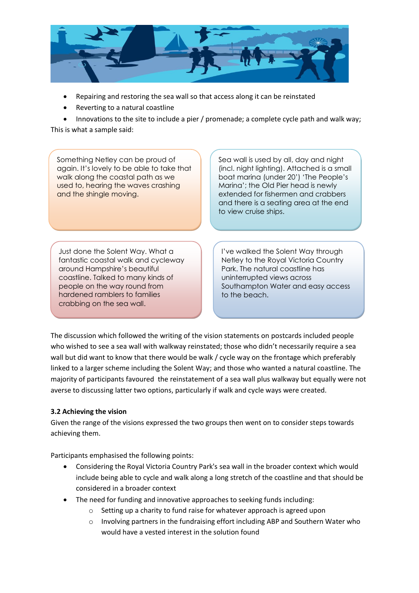

- Repairing and restoring the sea wall so that access along it can be reinstated
- Reverting to a natural coastline

Innovations to the site to include a pier / promenade; a complete cycle path and walk way;

This is what a sample said:

Something Netley can be proud of again. It's lovely to be able to take that walk along the coastal path as we used to, hearing the waves crashing and the shingle moving.

Sea wall is used by all, day and night (incl. night lighting). Attached is a small boat marina (under 20') 'The People's Marina'; the Old Pier head is newly extended for fishermen and crabbers and there is a seating area at the end to view cruise ships.

Just done the Solent Way. What a fantastic coastal walk and cycleway around Hampshire's beautiful coastline. Talked to many kinds of people on the way round from hardened ramblers to families crabbing on the sea wall.

I've walked the Solent Way through Netley to the Royal Victoria Country Park. The natural coastline has uninterrupted views across Southampton Water and easy access to the beach.

The discussion which followed the writing of the vision statements on postcards included people who wished to see a sea wall with walkway reinstated; those who didn't necessarily require a sea wall but did want to know that there would be walk / cycle way on the frontage which preferably linked to a larger scheme including the Solent Way; and those who wanted a natural coastline. The majority of participants favoured the reinstatement of a sea wall plus walkway but equally were not averse to discussing latter two options, particularly if walk and cycle ways were created.

# **3.2 Achieving the vision**

Given the range of the visions expressed the two groups then went on to consider steps towards achieving them.

Participants emphasised the following points:

- Considering the Royal Victoria Country Park's sea wall in the broader context which would include being able to cycle and walk along a long stretch of the coastline and that should be considered in a broader context
- The need for funding and innovative approaches to seeking funds including:
	- o Setting up a charity to fund raise for whatever approach is agreed upon
	- $\circ$  Involving partners in the fundraising effort including ABP and Southern Water who would have a vested interest in the solution found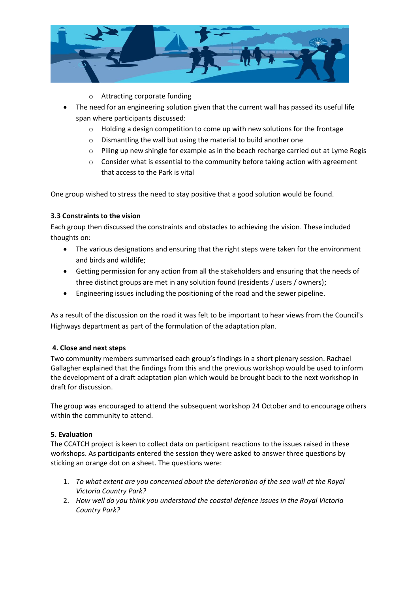

- o Attracting corporate funding
- The need for an engineering solution given that the current wall has passed its useful life span where participants discussed:
	- o Holding a design competition to come up with new solutions for the frontage
	- o Dismantling the wall but using the material to build another one
	- o Piling up new shingle for example as in the beach recharge carried out at Lyme Regis
	- $\circ$  Consider what is essential to the community before taking action with agreement that access to the Park is vital

One group wished to stress the need to stay positive that a good solution would be found.

# **3.3 Constraints to the vision**

Each group then discussed the constraints and obstacles to achieving the vision. These included thoughts on:

- The various designations and ensuring that the right steps were taken for the environment and birds and wildlife;
- Getting permission for any action from all the stakeholders and ensuring that the needs of three distinct groups are met in any solution found (residents / users / owners);
- Engineering issues including the positioning of the road and the sewer pipeline.

As a result of the discussion on the road it was felt to be important to hear views from the Council's Highways department as part of the formulation of the adaptation plan.

# **4. Close and next steps**

Two community members summarised each group's findings in a short plenary session. Rachael Gallagher explained that the findings from this and the previous workshop would be used to inform the development of a draft adaptation plan which would be brought back to the next workshop in draft for discussion.

The group was encouraged to attend the subsequent workshop 24 October and to encourage others within the community to attend.

# **5. Evaluation**

The CCATCH project is keen to collect data on participant reactions to the issues raised in these workshops. As participants entered the session they were asked to answer three questions by sticking an orange dot on a sheet. The questions were:

- 1. *To what extent are you concerned about the deterioration of the sea wall at the Royal Victoria Country Park?*
- 2. *How well do you think you understand the coastal defence issues in the Royal Victoria Country Park?*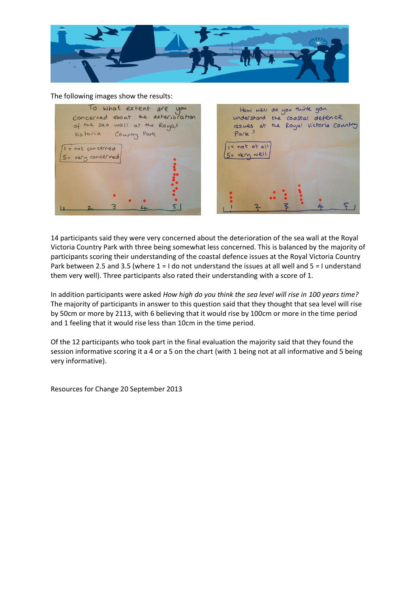

#### The following images show the results:



14 participants said they were very concerned about the deterioration of the sea wall at the Royal Victoria Country Park with three being somewhat less concerned. This is balanced by the majority of participants scoring their understanding of the coastal defence issues at the Royal Victoria Country Park between 2.5 and 3.5 (where 1 = I do not understand the issues at all well and 5 = I understand them very well). Three participants also rated their understanding with a score of 1.

In addition participants were asked *How high do you think the sea level will rise in 100 years time?*  The majority of participants in answer to this question said that they thought that sea level will rise by 50cm or more by 2113, with 6 believing that it would rise by 100cm or more in the time period and 1 feeling that it would rise less than 10cm in the time period.

Of the 12 participants who took part in the final evaluation the majority said that they found the session informative scoring it a 4 or a 5 on the chart (with 1 being not at all informative and 5 being very informative).

Resources for Change 20 September 2013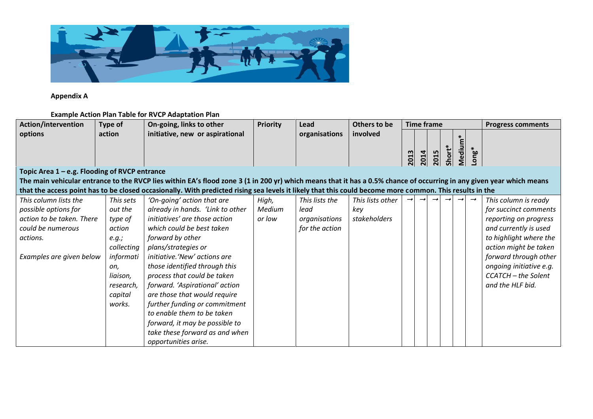

**Appendix A**

# **Example Action Plan Table for RVCP Adaptation Plan**

| <b>Action/intervention</b>                                                                                                                                           | Type of    | On-going, links to other                                                                                                                                | <b>Priority</b> | Lead           | Others to be     | <b>Time frame</b> |      |      |        |       | <b>Progress comments</b> |                         |
|----------------------------------------------------------------------------------------------------------------------------------------------------------------------|------------|---------------------------------------------------------------------------------------------------------------------------------------------------------|-----------------|----------------|------------------|-------------------|------|------|--------|-------|--------------------------|-------------------------|
| options                                                                                                                                                              | action     | initiative, new or aspirational                                                                                                                         |                 | organisations  | involved         |                   |      |      |        |       |                          |                         |
|                                                                                                                                                                      |            |                                                                                                                                                         |                 |                |                  |                   |      |      |        | Mediu | ong*                     |                         |
|                                                                                                                                                                      |            |                                                                                                                                                         |                 |                |                  | 2013              | 2014 | 2015 | Short' |       |                          |                         |
| Topic Area 1 - e.g. Flooding of RVCP entrance                                                                                                                        |            |                                                                                                                                                         |                 |                |                  |                   |      |      |        |       |                          |                         |
| The main vehicular entrance to the RVCP lies within EA's flood zone 3 (1 in 200 yr) which means that it has a 0.5% chance of occurring in any given year which means |            |                                                                                                                                                         |                 |                |                  |                   |      |      |        |       |                          |                         |
|                                                                                                                                                                      |            | that the access point has to be closed occasionally. With predicted rising sea levels it likely that this could become more common. This results in the |                 |                |                  |                   |      |      |        |       |                          |                         |
| This column lists the                                                                                                                                                | This sets  | 'On-going' action that are                                                                                                                              | High,           | This lists the | This lists other |                   |      |      |        |       |                          | This column is ready    |
| possible options for                                                                                                                                                 | out the    | already in hands. 'Link to other                                                                                                                        | Medium          | lead           | key              |                   |      |      |        |       |                          | for succinct comments   |
| action to be taken. There                                                                                                                                            | type of    | initiatives' are those action                                                                                                                           | or low          | organisations  | stakeholders     |                   |      |      |        |       |                          | reporting on progress   |
| could be numerous                                                                                                                                                    | action     | which could be best taken                                                                                                                               |                 | for the action |                  |                   |      |      |        |       |                          | and currently is used   |
| actions.                                                                                                                                                             | e.g.;      | forward by other                                                                                                                                        |                 |                |                  |                   |      |      |        |       |                          | to highlight where the  |
|                                                                                                                                                                      | collecting | plans/strategies or                                                                                                                                     |                 |                |                  |                   |      |      |        |       |                          | action might be taken   |
| Examples are given below                                                                                                                                             | informati  | initiative. 'New' actions are                                                                                                                           |                 |                |                  |                   |      |      |        |       |                          | forward through other   |
|                                                                                                                                                                      | on,        | those identified through this                                                                                                                           |                 |                |                  |                   |      |      |        |       |                          | ongoing initiative e.g. |
|                                                                                                                                                                      | liaison,   | process that could be taken                                                                                                                             |                 |                |                  |                   |      |      |        |       |                          | CCATCH - the Solent     |
|                                                                                                                                                                      | research,  | forward. 'Aspirational' action                                                                                                                          |                 |                |                  |                   |      |      |        |       |                          | and the HLF bid.        |
|                                                                                                                                                                      | capital    | are those that would require                                                                                                                            |                 |                |                  |                   |      |      |        |       |                          |                         |
|                                                                                                                                                                      | works.     | further funding or commitment                                                                                                                           |                 |                |                  |                   |      |      |        |       |                          |                         |
|                                                                                                                                                                      |            | to enable them to be taken                                                                                                                              |                 |                |                  |                   |      |      |        |       |                          |                         |
|                                                                                                                                                                      |            | forward, it may be possible to                                                                                                                          |                 |                |                  |                   |      |      |        |       |                          |                         |
|                                                                                                                                                                      |            | take these forward as and when                                                                                                                          |                 |                |                  |                   |      |      |        |       |                          |                         |
|                                                                                                                                                                      |            | opportunities arise.                                                                                                                                    |                 |                |                  |                   |      |      |        |       |                          |                         |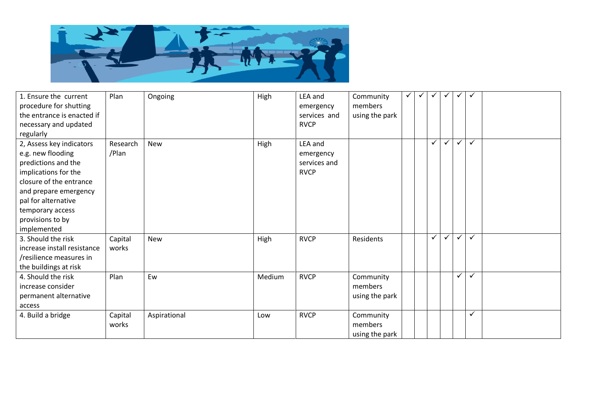

| 1. Ensure the current<br>procedure for shutting<br>the entrance is enacted if<br>necessary and updated<br>regularly | Plan     | Ongoing      | High   | LEA and<br>emergency<br>services and<br><b>RVCP</b> | Community<br>members<br>using the park | $\checkmark$ | $\checkmark$ | $\checkmark$ | $\checkmark$ | $\checkmark$ | $\checkmark$ |  |
|---------------------------------------------------------------------------------------------------------------------|----------|--------------|--------|-----------------------------------------------------|----------------------------------------|--------------|--------------|--------------|--------------|--------------|--------------|--|
| 2, Assess key indicators                                                                                            | Research | <b>New</b>   | High   | LEA and                                             |                                        |              |              | $\checkmark$ | $\checkmark$ | $\checkmark$ | $\checkmark$ |  |
| e.g. new flooding                                                                                                   | /Plan    |              |        | emergency                                           |                                        |              |              |              |              |              |              |  |
| predictions and the                                                                                                 |          |              |        | services and                                        |                                        |              |              |              |              |              |              |  |
| implications for the                                                                                                |          |              |        | <b>RVCP</b>                                         |                                        |              |              |              |              |              |              |  |
| closure of the entrance                                                                                             |          |              |        |                                                     |                                        |              |              |              |              |              |              |  |
| and prepare emergency                                                                                               |          |              |        |                                                     |                                        |              |              |              |              |              |              |  |
| pal for alternative                                                                                                 |          |              |        |                                                     |                                        |              |              |              |              |              |              |  |
| temporary access                                                                                                    |          |              |        |                                                     |                                        |              |              |              |              |              |              |  |
| provisions to by                                                                                                    |          |              |        |                                                     |                                        |              |              |              |              |              |              |  |
| implemented                                                                                                         |          |              |        |                                                     |                                        |              |              |              |              |              |              |  |
| 3. Should the risk                                                                                                  | Capital  | <b>New</b>   | High   | <b>RVCP</b>                                         | Residents                              |              |              | $\checkmark$ | $\checkmark$ | $\checkmark$ | ✓            |  |
| increase install resistance                                                                                         | works    |              |        |                                                     |                                        |              |              |              |              |              |              |  |
| /resilience measures in                                                                                             |          |              |        |                                                     |                                        |              |              |              |              |              |              |  |
| the buildings at risk                                                                                               |          |              |        |                                                     |                                        |              |              |              |              |              |              |  |
| 4. Should the risk                                                                                                  | Plan     | Ew           | Medium | <b>RVCP</b>                                         | Community                              |              |              |              |              | $\checkmark$ | $\checkmark$ |  |
| increase consider                                                                                                   |          |              |        |                                                     | members                                |              |              |              |              |              |              |  |
| permanent alternative                                                                                               |          |              |        |                                                     | using the park                         |              |              |              |              |              |              |  |
| access                                                                                                              |          |              |        |                                                     |                                        |              |              |              |              |              |              |  |
| 4. Build a bridge                                                                                                   | Capital  | Aspirational | Low    | <b>RVCP</b>                                         | Community                              |              |              |              |              |              | ✓            |  |
|                                                                                                                     | works    |              |        |                                                     | members                                |              |              |              |              |              |              |  |
|                                                                                                                     |          |              |        |                                                     | using the park                         |              |              |              |              |              |              |  |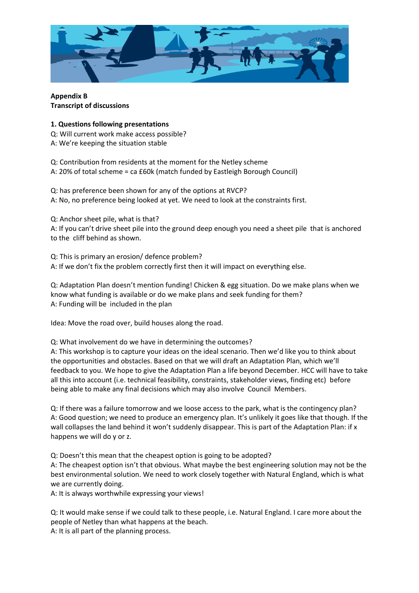

**Appendix B Transcript of discussions**

#### **1. Questions following presentations**

Q: Will current work make access possible? A: We're keeping the situation stable

Q: Contribution from residents at the moment for the Netley scheme A: 20% of total scheme = ca £60k (match funded by Eastleigh Borough Council)

Q: has preference been shown for any of the options at RVCP? A: No, no preference being looked at yet. We need to look at the constraints first.

Q: Anchor sheet pile, what is that? A: If you can't drive sheet pile into the ground deep enough you need a sheet pile that is anchored to the cliff behind as shown.

Q: This is primary an erosion/ defence problem? A: If we don't fix the problem correctly first then it will impact on everything else.

Q: Adaptation Plan doesn't mention funding! Chicken & egg situation. Do we make plans when we know what funding is available or do we make plans and seek funding for them? A: Funding will be included in the plan

Idea: Move the road over, build houses along the road.

Q: What involvement do we have in determining the outcomes?

A: This workshop is to capture your ideas on the ideal scenario. Then we'd like you to think about the opportunities and obstacles. Based on that we will draft an Adaptation Plan, which we'll feedback to you. We hope to give the Adaptation Plan a life beyond December. HCC will have to take all this into account (i.e. technical feasibility, constraints, stakeholder views, finding etc) before being able to make any final decisions which may also involve Council Members.

Q: If there was a failure tomorrow and we loose access to the park, what is the contingency plan? A: Good question; we need to produce an emergency plan. It's unlikely it goes like that though. If the wall collapses the land behind it won't suddenly disappear. This is part of the Adaptation Plan: if x happens we will do y or z.

Q: Doesn't this mean that the cheapest option is going to be adopted?

A: The cheapest option isn't that obvious. What maybe the best engineering solution may not be the best environmental solution. We need to work closely together with Natural England, which is what we are currently doing.

A: It is always worthwhile expressing your views!

Q: It would make sense if we could talk to these people, i.e. Natural England. I care more about the people of Netley than what happens at the beach.

A: It is all part of the planning process.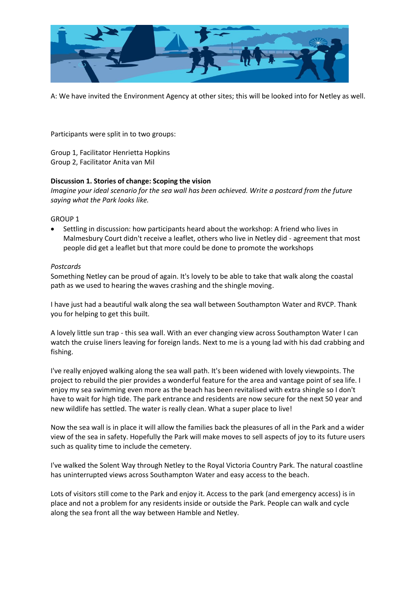

A: We have invited the Environment Agency at other sites; this will be looked into for Netley as well.

Participants were split in to two groups:

Group 1, Facilitator Henrietta Hopkins Group 2, Facilitator Anita van Mil

#### **Discussion 1. Stories of change: Scoping the vision**

*Imagine your ideal scenario for the sea wall has been achieved. Write a postcard from the future saying what the Park looks like.*

GROUP 1

 Settling in discussion: how participants heard about the workshop: A friend who lives in Malmesbury Court didn't receive a leaflet, others who live in Netley did - agreement that most people did get a leaflet but that more could be done to promote the workshops

#### *Postcards*

Something Netley can be proud of again. It's lovely to be able to take that walk along the coastal path as we used to hearing the waves crashing and the shingle moving.

I have just had a beautiful walk along the sea wall between Southampton Water and RVCP. Thank you for helping to get this built.

A lovely little sun trap - this sea wall. With an ever changing view across Southampton Water I can watch the cruise liners leaving for foreign lands. Next to me is a young lad with his dad crabbing and fishing.

I've really enjoyed walking along the sea wall path. It's been widened with lovely viewpoints. The project to rebuild the pier provides a wonderful feature for the area and vantage point of sea life. I enjoy my sea swimming even more as the beach has been revitalised with extra shingle so I don't have to wait for high tide. The park entrance and residents are now secure for the next 50 year and new wildlife has settled. The water is really clean. What a super place to live!

Now the sea wall is in place it will allow the families back the pleasures of all in the Park and a wider view of the sea in safety. Hopefully the Park will make moves to sell aspects of joy to its future users such as quality time to include the cemetery.

I've walked the Solent Way through Netley to the Royal Victoria Country Park. The natural coastline has uninterrupted views across Southampton Water and easy access to the beach.

Lots of visitors still come to the Park and enjoy it. Access to the park (and emergency access) is in place and not a problem for any residents inside or outside the Park. People can walk and cycle along the sea front all the way between Hamble and Netley.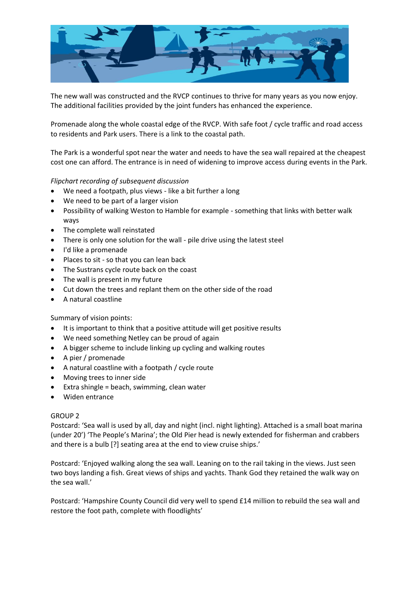

The new wall was constructed and the RVCP continues to thrive for many years as you now enjoy. The additional facilities provided by the joint funders has enhanced the experience.

Promenade along the whole coastal edge of the RVCP. With safe foot / cycle traffic and road access to residents and Park users. There is a link to the coastal path.

The Park is a wonderful spot near the water and needs to have the sea wall repaired at the cheapest cost one can afford. The entrance is in need of widening to improve access during events in the Park.

#### *Flipchart recording of subsequent discussion*

- We need a footpath, plus views like a bit further a long
- We need to be part of a larger vision
- Possibility of walking Weston to Hamble for example something that links with better walk ways
- The complete wall reinstated
- There is only one solution for the wall pile drive using the latest steel
- I'd like a promenade
- Places to sit so that you can lean back
- The Sustrans cycle route back on the coast
- The wall is present in my future
- Cut down the trees and replant them on the other side of the road
- A natural coastline

#### Summary of vision points:

- It is important to think that a positive attitude will get positive results
- We need something Netley can be proud of again
- A bigger scheme to include linking up cycling and walking routes
- A pier / promenade
- A natural coastline with a footpath / cycle route
- Moving trees to inner side
- Extra shingle = beach, swimming, clean water
- Widen entrance

#### GROUP 2

Postcard: 'Sea wall is used by all, day and night (incl. night lighting). Attached is a small boat marina (under 20') 'The People's Marina'; the Old Pier head is newly extended for fisherman and crabbers and there is a bulb [?] seating area at the end to view cruise ships.'

Postcard: 'Enjoyed walking along the sea wall. Leaning on to the rail taking in the views. Just seen two boys landing a fish. Great views of ships and yachts. Thank God they retained the walk way on the sea wall.'

Postcard: 'Hampshire County Council did very well to spend £14 million to rebuild the sea wall and restore the foot path, complete with floodlights'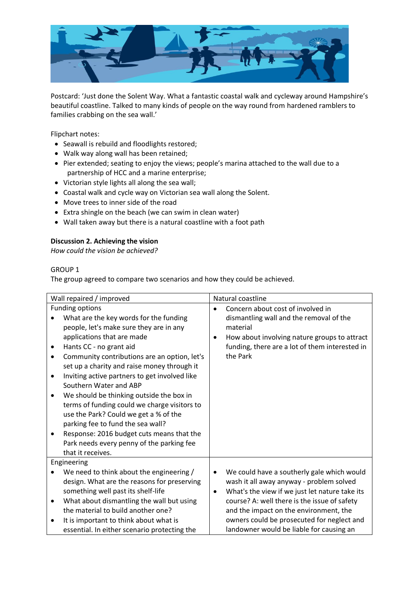

Postcard: 'Just done the Solent Way. What a fantastic coastal walk and cycleway around Hampshire's beautiful coastline. Talked to many kinds of people on the way round from hardened ramblers to families crabbing on the sea wall.'

Flipchart notes:

- Seawall is rebuild and floodlights restored;
- Walk way along wall has been retained;
- Pier extended; seating to enjoy the views; people's marina attached to the wall due to a partnership of HCC and a marine enterprise;
- Victorian style lights all along the sea wall;
- Coastal walk and cycle way on Victorian sea wall along the Solent.
- Move trees to inner side of the road
- Extra shingle on the beach (we can swim in clean water)
- Wall taken away but there is a natural coastline with a foot path

#### **Discussion 2. Achieving the vision**

*How could the vision be achieved?*

#### GROUP 1

The group agreed to compare two scenarios and how they could be achieved.

| Wall repaired / improved                                                                                                                                                                                                                                                                                                                                                                                                                                                                                                                                                                                                                                                          | Natural coastline                                                                                                                                                                                                                                                                                  |  |  |  |  |  |  |
|-----------------------------------------------------------------------------------------------------------------------------------------------------------------------------------------------------------------------------------------------------------------------------------------------------------------------------------------------------------------------------------------------------------------------------------------------------------------------------------------------------------------------------------------------------------------------------------------------------------------------------------------------------------------------------------|----------------------------------------------------------------------------------------------------------------------------------------------------------------------------------------------------------------------------------------------------------------------------------------------------|--|--|--|--|--|--|
| Funding options<br>What are the key words for the funding<br>people, let's make sure they are in any<br>applications that are made<br>Hants CC - no grant aid<br>$\bullet$<br>Community contributions are an option, let's<br>$\bullet$<br>set up a charity and raise money through it<br>Inviting active partners to get involved like<br>٠<br>Southern Water and ABP<br>We should be thinking outside the box in<br>٠<br>terms of funding could we charge visitors to<br>use the Park? Could we get a % of the<br>parking fee to fund the sea wall?<br>Response: 2016 budget cuts means that the<br>$\bullet$<br>Park needs every penny of the parking fee<br>that it receives. | Concern about cost of involved in<br>dismantling wall and the removal of the<br>material<br>How about involving nature groups to attract<br>$\bullet$<br>funding, there are a lot of them interested in<br>the Park                                                                                |  |  |  |  |  |  |
| Engineering                                                                                                                                                                                                                                                                                                                                                                                                                                                                                                                                                                                                                                                                       |                                                                                                                                                                                                                                                                                                    |  |  |  |  |  |  |
| We need to think about the engineering /<br>design. What are the reasons for preserving<br>something well past its shelf-life<br>What about dismantling the wall but using<br>٠<br>the material to build another one?                                                                                                                                                                                                                                                                                                                                                                                                                                                             | We could have a southerly gale which would<br>٠<br>wash it all away anyway - problem solved<br>What's the view if we just let nature take its<br>$\bullet$<br>course? A: well there is the issue of safety<br>and the impact on the environment, the<br>owners could be prosecuted for neglect and |  |  |  |  |  |  |
| It is important to think about what is<br>essential. In either scenario protecting the                                                                                                                                                                                                                                                                                                                                                                                                                                                                                                                                                                                            | landowner would be liable for causing an                                                                                                                                                                                                                                                           |  |  |  |  |  |  |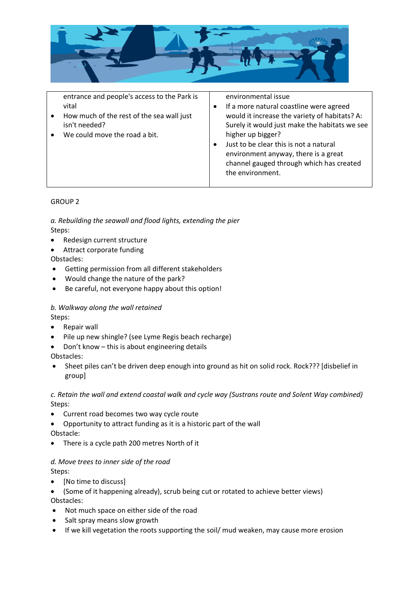

entrance and people's access to the Park is vital

- How much of the rest of the sea wall just isn't needed?
- We could move the road a bit.

environmental issue

- If a more natural coastline were agreed would it increase the variety of habitats? A: Surely it would just make the habitats we see higher up bigger?
- Just to be clear this is not a natural environment anyway, there is a great channel gauged through which has created the environment.

# GROUP 2

*a. Rebuilding the seawall and flood lights, extending the pier* Steps:

- Redesign current structure
- Attract corporate funding

Obstacles:

- Getting permission from all different stakeholders
- Would change the nature of the park?
- Be careful, not everyone happy about this option!

# *b. Walkway along the wall retained*

Steps:

- Repair wall
- Pile up new shingle? (see Lyme Regis beach recharge)
- Don't know this is about engineering details

Obstacles:

 Sheet piles can't be driven deep enough into ground as hit on solid rock. Rock??? [disbelief in group]

# *c. Retain the wall and extend coastal walk and cycle way (Sustrans route and Solent Way combined)* Steps:

- Current road becomes two way cycle route
- Opportunity to attract funding as it is a historic part of the wall Obstacle:
- There is a cycle path 200 metres North of it

# *d. Move trees to inner side of the road*

Steps:

- [No time to discuss]
- (Some of it happening already), scrub being cut or rotated to achieve better views)

Obstacles:

- Not much space on either side of the road
- Salt spray means slow growth
- If we kill vegetation the roots supporting the soil/ mud weaken, may cause more erosion